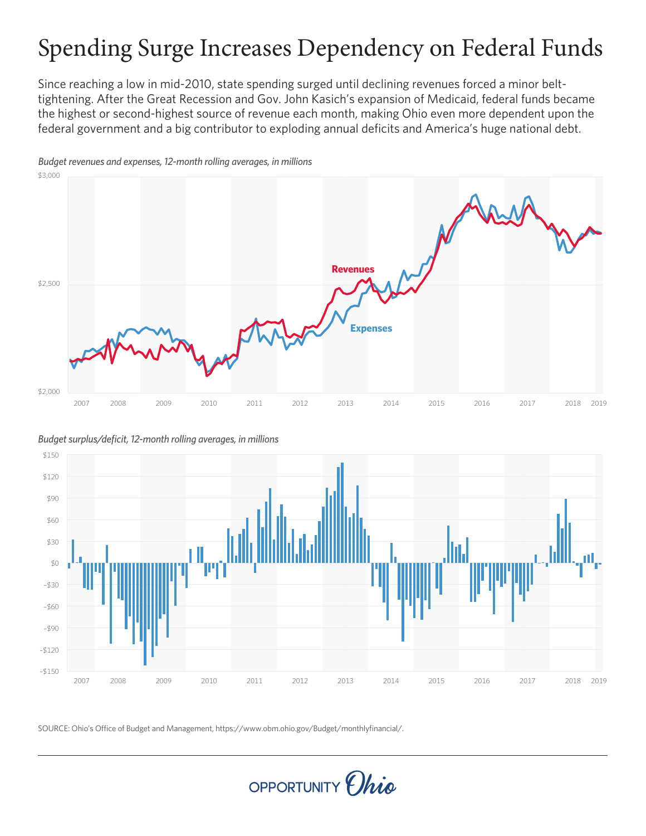# Spending Surge Increases Dependency on Federal Funds

Since reaching a low in mid-2010, state spending surged until declining revenues forced a minor belttightening. After the Great Recession and Gov. John Kasich's expansion of Medicaid, federal funds became the highest or second-highest source of revenue each month, making Ohio even more dependent upon the federal government and a big contributor to exploding annual deficits and America's huge national debt.



*Budget revenues and expenses, 12-month rolling averages, in millions*

*Budget surplus/deficit, 12-month rolling averages, in millions*



SOURCE: Ohio's Office of Budget and Management, https://www.obm.ohio.gov/Budget/monthlyfinancial/.